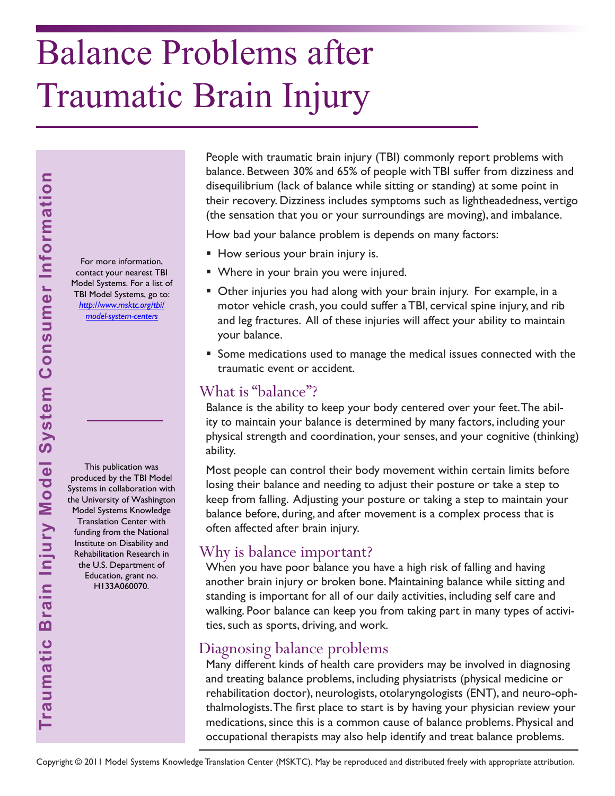# Balance Problems after Traumatic Brain Injury

For more information, contact your nearest TBI Model Systems. For a list of TBI Model Systems, go to: *[http://www.msktc.org/tbi/](http://www.msktc.org/tbi/model-system-centers) model-system-centers* 

This publication was produced by the TBI Model Systems in collaboration with the University of Washington Model Systems Knowledge Translation Center with funding from the National Institute on Disability and Rehabilitation Research in the U.S. Department of Education, grant no. H133A060070.

People with traumatic brain injury (TBI) commonly report problems with balance. Between 30% and 65% of people with TBI suffer from dizziness and disequilibrium (lack of balance while sitting or standing) at some point in their recovery. Dizziness includes symptoms such as lightheadedness, vertigo (the sensation that you or your surroundings are moving), and imbalance.

How bad your balance problem is depends on many factors:

- How serious your brain injury is.
- Where in your brain you were injured.
- Other injuries you had along with your brain injury. For example, in a motor vehicle crash, you could suffer a TBI, cervical spine injury, and rib and leg fractures. All of these injuries will affect your ability to maintain your balance.
- Some medications used to manage the medical issues connected with the traumatic event or accident.

### What is "balance"?

Balance is the ability to keep your body centered over your feet. The ability to maintain your balance is determined by many factors, including your physical strength and coordination, your senses, and your cognitive (thinking) ability.

Most people can control their body movement within certain limits before losing their balance and needing to adjust their posture or take a step to keep from falling. Adjusting your posture or taking a step to maintain your balance before, during, and after movement is a complex process that is often affected after brain injury.

## Why is balance important?

When you have poor balance you have a high risk of falling and having another brain injury or broken bone. Maintaining balance while sitting and standing is important for all of our daily activities, including self care and walking. Poor balance can keep you from taking part in many types of activities, such as sports, driving, and work.

## Diagnosing balance problems

Many different kinds of health care providers may be involved in diagnosing and treating balance problems, including physiatrists (physical medicine or rehabilitation doctor), neurologists, otolaryngologists (ENT), and neuro-ophthalmologists. The first place to start is by having your physician review your medications, since this is a common cause of balance problems. Physical and occupational therapists may also help identify and treat balance problems.

Copyright © 2011 Model Systems Knowledge Translation Center (MSKTC). May be reproduced and distributed freely with appropriate attribution.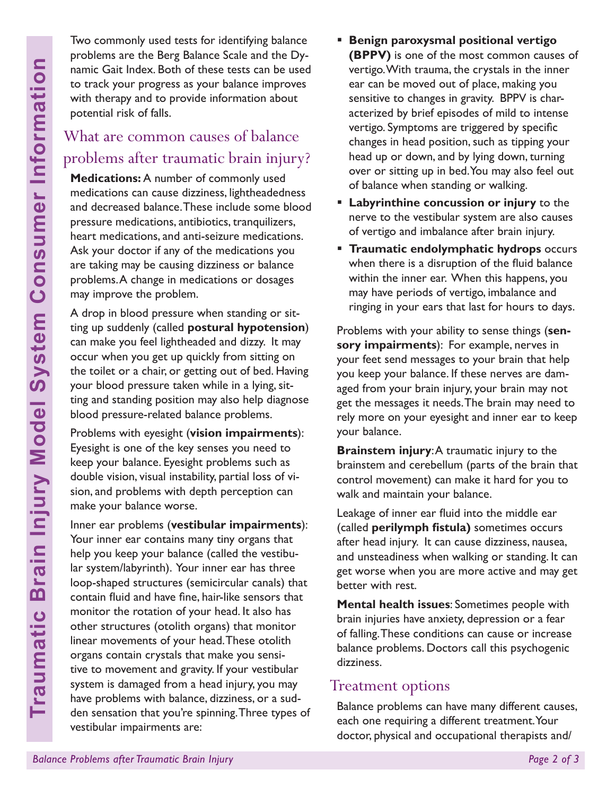Two commonly used tests for identifying balance problems are the Berg Balance Scale and the Dynamic Gait Index. Both of these tests can be used to track your progress as your balance improves with therapy and to provide information about potential risk of falls.

## What are common causes of balance problems after traumatic brain injury?

**Medications:** A number of commonly used medications can cause dizziness, lightheadedness and decreased balance. These include some blood pressure medications, antibiotics, tranquilizers, heart medications, and anti-seizure medications. Ask your doctor if any of the medications you are taking may be causing dizziness or balance problems. A change in medications or dosages may improve the problem.

A drop in blood pressure when standing or sitting up suddenly (called **postural hypotension**) can make you feel lightheaded and dizzy. It may occur when you get up quickly from sitting on the toilet or a chair, or getting out of bed. Having your blood pressure taken while in a lying, sitting and standing position may also help diagnose blood pressure-related balance problems.

Problems with eyesight (**vision impairments**): Eyesight is one of the key senses you need to keep your balance. Eyesight problems such as double vision, visual instability, partial loss of vision, and problems with depth perception can make your balance worse.

**Balance Consumer System System System System System Consumer System Consumer System System System System System System and decreased balance. These independent of the medications can cause dizziness, in and decreased bala** Inner ear problems (**vestibular impairments**): Your inner ear contains many tiny organs that help you keep your balance (called the vestibular system/labyrinth). Your inner ear has three loop-shaped structures (semicircular canals) that contain fluid and have fine, hair-like sensors that monitor the rotation of your head. It also has other structures (otolith organs) that monitor linear movements of your head. These otolith organs contain crystals that make you sensitive to movement and gravity. If your vestibular system is damaged from a head injury, you may have problems with balance, dizziness, or a sudden sensation that you're spinning. Three types of vestibular impairments are:

- **Benign paroxysmal positional vertigo (BPPV)** is one of the most common causes of vertigo. With trauma, the crystals in the inner ear can be moved out of place, making you sensitive to changes in gravity. BPPV is characterized by brief episodes of mild to intense vertigo. Symptoms are triggered by specific changes in head position, such as tipping your head up or down, and by lying down, turning over or sitting up in bed. You may also feel out of balance when standing or walking.
- **Labyrinthine concussion or injury** to the nerve to the vestibular system are also causes of vertigo and imbalance after brain injury.
- **Traumatic endolymphatic hydrops** occurs when there is a disruption of the fluid balance within the inner ear. When this happens, you may have periods of vertigo, imbalance and ringing in your ears that last for hours to days.

Problems with your ability to sense things (**sensory impairments**): For example, nerves in your feet send messages to your brain that help you keep your balance. If these nerves are damaged from your brain injury, your brain may not get the messages it needs. The brain may need to rely more on your eyesight and inner ear to keep your balance.

**Brainstem injury:** A traumatic injury to the brainstem and cerebellum (parts of the brain that control movement) can make it hard for you to walk and maintain your balance.

Leakage of inner ear fluid into the middle ear (called **perilymph fistula)** sometimes occurs after head injury. It can cause dizziness, nausea, and unsteadiness when walking or standing. It can get worse when you are more active and may get better with rest.

**Mental health issues**: Sometimes people with brain injuries have anxiety, depression or a fear of falling. These conditions can cause or increase balance problems. Doctors call this psychogenic dizziness.

#### Treatment options

Balance problems can have many different causes, each one requiring a different treatment. Your doctor, physical and occupational therapists and/